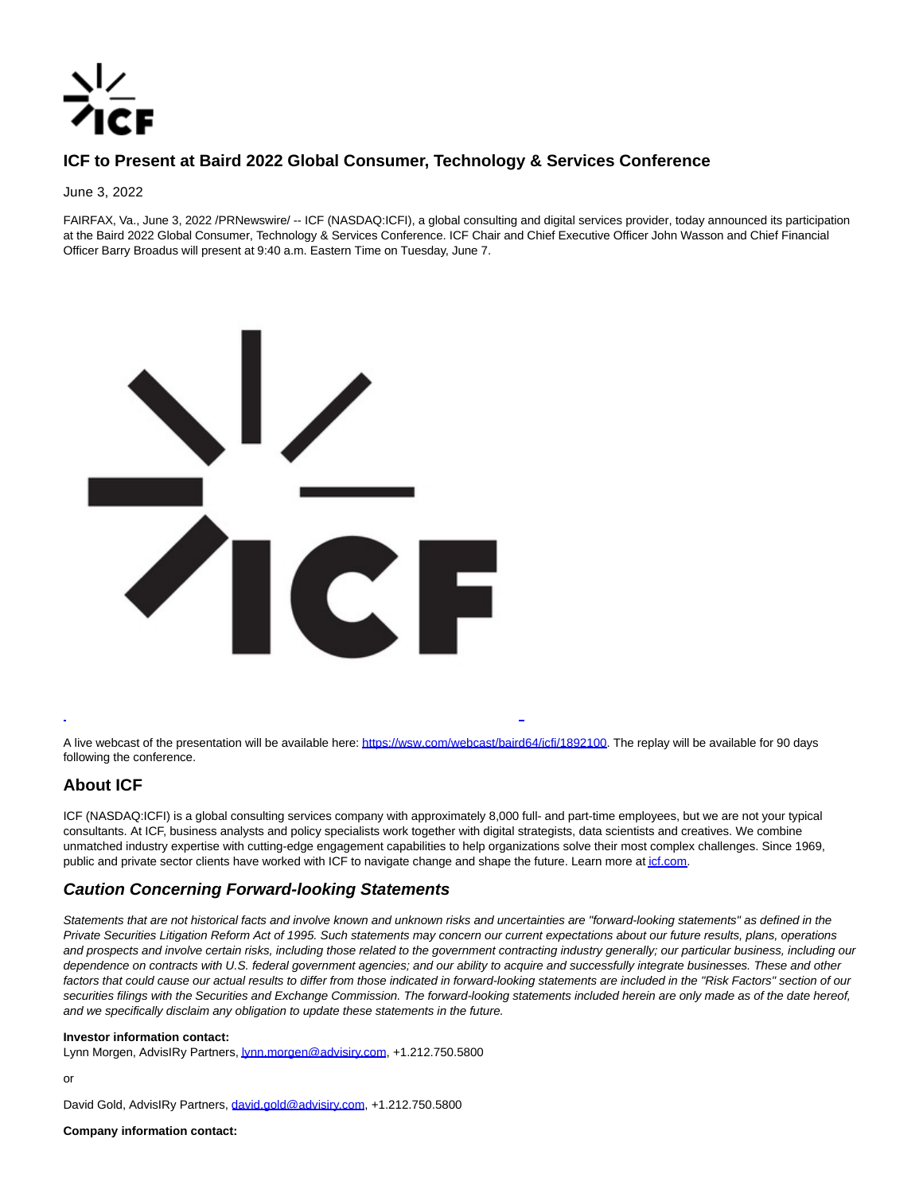

## **ICF to Present at Baird 2022 Global Consumer, Technology & Services Conference**

June 3, 2022

FAIRFAX, Va., June 3, 2022 /PRNewswire/ -- ICF (NASDAQ:ICFI), a global consulting and digital services provider, today announced its participation at the Baird 2022 Global Consumer, Technology & Services Conference. ICF Chair and Chief Executive Officer John Wasson and Chief Financial Officer Barry Broadus will present at 9:40 a.m. Eastern Time on Tuesday, June 7.



A live webcast of the presentation will be available here[: https://wsw.com/webcast/baird64/icfi/1892100.](https://c212.net/c/link/?t=0&l=en&o=3557116-1&h=440426720&u=https%3A%2F%2Fwsw.com%2Fwebcast%2Fbaird64%2Ficfi%2F1892100&a=https%3A%2F%2Fwsw.com%2Fwebcast%2Fbaird64%2Ficfi%2F1892100) The replay will be available for 90 days following the conference.

L

## **About ICF**

ICF (NASDAQ:ICFI) is a global consulting services company with approximately 8,000 full- and part-time employees, but we are not your typical consultants. At ICF, business analysts and policy specialists work together with digital strategists, data scientists and creatives. We combine unmatched industry expertise with cutting-edge engagement capabilities to help organizations solve their most complex challenges. Since 1969, public and private sector clients have worked with ICF to navigate change and shape the future. Learn more a[t icf.com.](https://c212.net/c/link/?t=0&l=en&o=3557116-1&h=1276562217&u=https%3A%2F%2Fwww.icf.com%2F&a=icf.com)

## **Caution Concerning Forward-looking Statements**

Statements that are not historical facts and involve known and unknown risks and uncertainties are "forward-looking statements" as defined in the Private Securities Litigation Reform Act of 1995. Such statements may concern our current expectations about our future results, plans, operations and prospects and involve certain risks, including those related to the government contracting industry generally; our particular business, including our dependence on contracts with U.S. federal government agencies; and our ability to acquire and successfully integrate businesses. These and other factors that could cause our actual results to differ from those indicated in forward-looking statements are included in the "Risk Factors" section of our securities filings with the Securities and Exchange Commission. The forward-looking statements included herein are only made as of the date hereof, and we specifically disclaim any obligation to update these statements in the future.

## **Investor information contact:**

Lynn Morgen, AdvisIRy Partners[, lynn.morgen@advisiry.com,](mailto:lynn.morgen@advisiry.com) +1.212.750.5800

or

David Gold, AdvisIRy Partners, [david.gold@advisiry.com,](mailto:david.gold@advisiry.com) +1.212.750.5800

**Company information contact:**